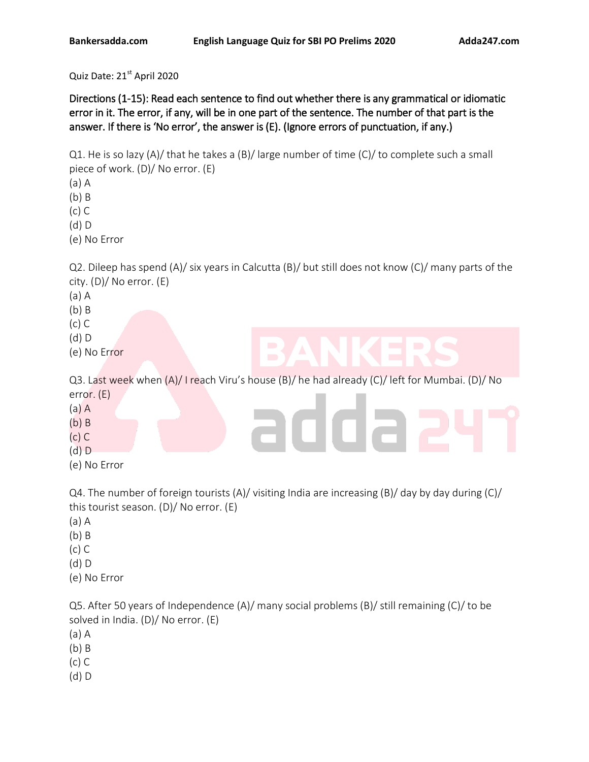Quiz Date: 21st April 2020

Directions (1-15): Read each sentence to find out whether there is any grammatical or idiomatic error in it. The error, if any, will be in one part of the sentence. The number of that part is the answer. If there is 'No error', the answer is (E). (Ignore errors of punctuation, if any.)

Q1. He is so lazy (A)/ that he takes a (B)/ large number of time (C)/ to complete such a small piece of work. (D)/ No error. (E)

(a) A

(b) B

(c) C

(d) D

(e) No Error

Q2. Dileep has spend (A)/ six years in Calcutta (B)/ but still does not know (C)/ many parts of the city. (D)/ No error. (E)

- (a) A
- (b) B
- (c) C
- (d) D
- (e) No Error

Q3. Last week when (A)/ I reach Viru's house (B)/ he had already (C)/ left for Mumbai. (D)/ No error. (E)

- (a) A
- (b) B
- (c) C
- (d) D
- (e) No Error

Q4. The number of foreign tourists (A)/ visiting India are increasing (B)/ day by day during (C)/ this tourist season. (D)/ No error. (E)

- (a) A
- (b) B
- (c) C
- (d) D
- (e) No Error

Q5. After 50 years of Independence (A)/ many social problems (B)/ still remaining (C)/ to be solved in India. (D)/ No error. (E)

- (a) A
- (b) B
- (c) C
- (d) D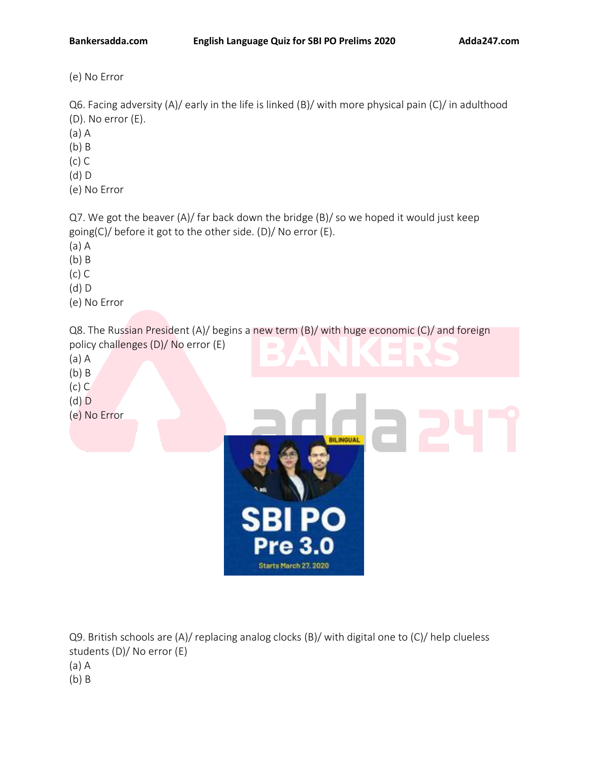(e) No Error

Q6. Facing adversity (A)/ early in the life is linked (B)/ with more physical pain (C)/ in adulthood (D). No error (E).

- (a) A
- (b) B
- (c) C
- (d) D
- (e) No Error

Q7. We got the beaver (A)/ far back down the bridge (B)/ so we hoped it would just keep going(C)/ before it got to the other side. (D)/ No error (E).

- (a) A
- (b) B
- (c) C
- (d) D
- (e) No Error

Q8. The Russian President (A)/ begins a new term (B)/ with huge economic (C)/ and foreign policy challenges (D)/ No error (E)

- (a) A
- (b) B (c) C
- 
- 



Q9. British schools are (A)/ replacing analog clocks (B)/ with digital one to (C)/ help clueless students (D)/ No error (E) (a) A (b) B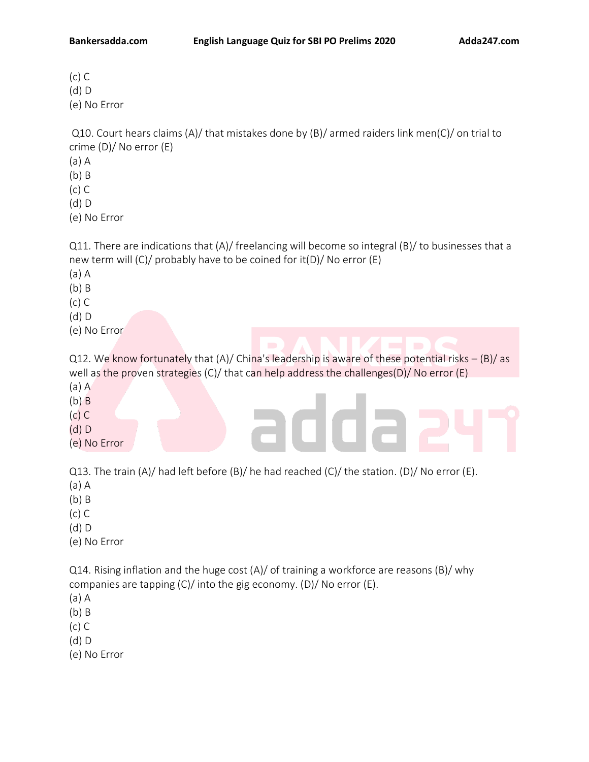(c) C (d) D (e) No Error

Q10. Court hears claims (A)/ that mistakes done by (B)/ armed raiders link men(C)/ on trial to crime (D)/ No error (E)

- (a) A
- (b) B
- (c) C
- (d) D

(e) No Error

Q11. There are indications that (A)/ freelancing will become so integral (B)/ to businesses that a new term will (C)/ probably have to be coined for it(D)/ No error (E)

- (a) A
- (b) B
- (c) C
- (d) D
- (e) No Error

Q12. We know fortunately that (A)/ China's leadership is aware of these potential risks – (B)/ as well as the proven strategies (C)/ that can help address the challenges(D)/ No error (E) (a) A

- (b) B
- (c) C
- (d) D
- (e) No Error

Q13. The train (A)/ had left before (B)/ he had reached (C)/ the station. (D)/ No error (E).

- (a) A
- (b) B
- (c) C
- (d) D
- (e) No Error

Q14. Rising inflation and the huge cost (A)/ of training a workforce are reasons (B)/ why companies are tapping (C)/ into the gig economy. (D)/ No error (E).

- (a) A
- (b) B
- (c) C

(d) D

(e) No Error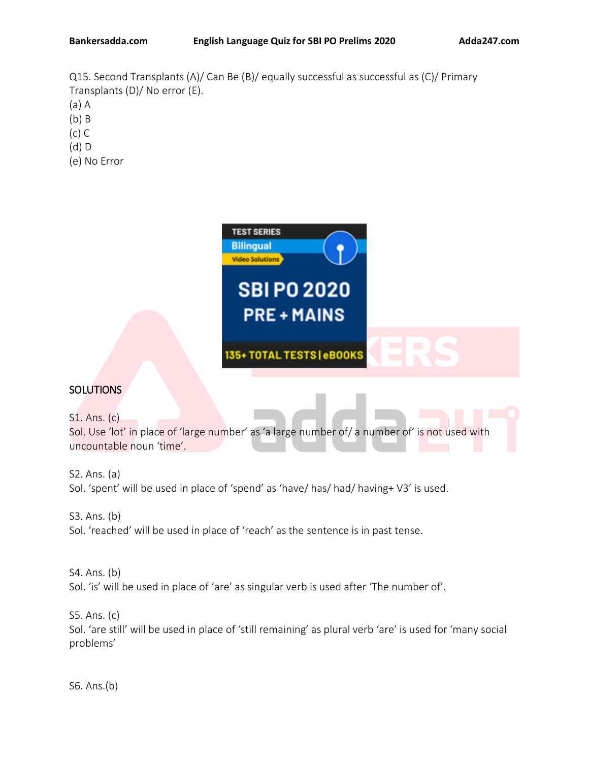Q15. Second Transplants (A)/ Can Be (B)/ equally successful as successful as (C)/ Primary Transplants (D)/ No error (E). (a) A

- (b) B
- (c) C
- (d) D
- (e) No Error



# **SOLUTIONS**

S1. Ans. (c)

Sol. Use 'lot' in place of 'large number' as 'a large number of/ a number of' is not used with uncountable noun 'time'.

S2. Ans. (a) Sol. 'spent' will be used in place of 'spend' as 'have/ has/ had/ having+ V3' is used.

S3. Ans. (b) Sol. 'reached' will be used in place of 'reach' as the sentence is in past tense.

S4. Ans. (b) Sol. 'is' will be used in place of 'are' as singular verb is used after 'The number of'.

S5. Ans. (c) Sol. 'are still' will be used in place of 'still remaining' as plural verb 'are' is used for 'many social problems'

S6. Ans.(b)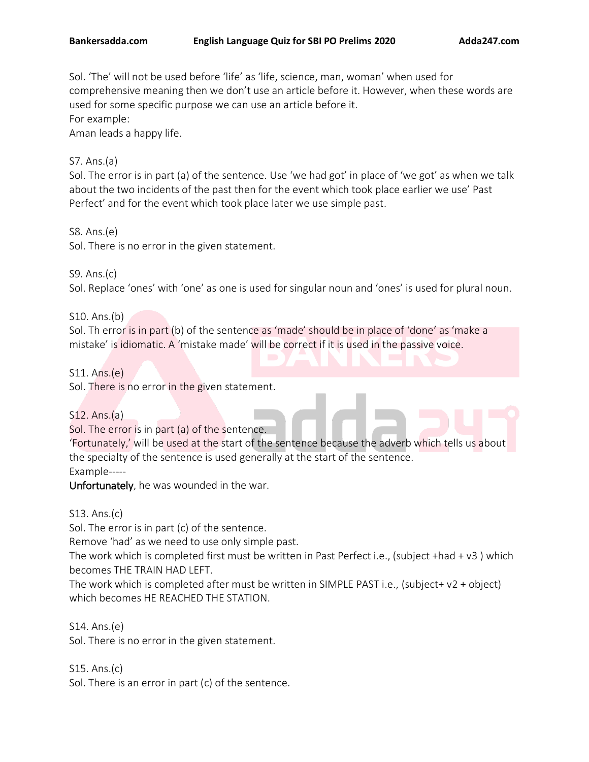Sol. 'The' will not be used before 'life' as 'life, science, man, woman' when used for comprehensive meaning then we don't use an article before it. However, when these words are used for some specific purpose we can use an article before it. For example:

Aman leads a happy life.

# S7. Ans.(a)

Sol. The error is in part (a) of the sentence. Use 'we had got' in place of 'we got' as when we talk about the two incidents of the past then for the event which took place earlier we use' Past Perfect' and for the event which took place later we use simple past.

## S8. Ans.(e)

Sol. There is no error in the given statement.

## S9. Ans.(c)

Sol. Replace 'ones' with 'one' as one is used for singular noun and 'ones' is used for plural noun.

## S10. Ans.(b)

Sol. Th error is in part (b) of the sentence as 'made' should be in place of 'done' as 'make a mistake' is idiomatic. A 'mistake made' will be correct if it is used in the passive voice.

## S11. Ans.(e)

Sol. There is no error in the given statement.

## S12. Ans.(a)

Sol. The error is in part (a) of the sentence.

'Fortunately,' will be used at the start of the sentence because the adverb which tells us about the specialty of the sentence is used generally at the start of the sentence.

Example-----

Unfortunately, he was wounded in the war.

## S13. Ans.(c)

Sol. The error is in part (c) of the sentence.

Remove 'had' as we need to use only simple past.

The work which is completed first must be written in Past Perfect i.e., (subject +had + v3 ) which becomes THE TRAIN HAD LEFT.

The work which is completed after must be written in SIMPLE PAST i.e., (subject+ v2 + object) which becomes HE REACHED THE STATION.

S14. Ans.(e)

Sol. There is no error in the given statement.

S15. Ans.(c)

Sol. There is an error in part (c) of the sentence.